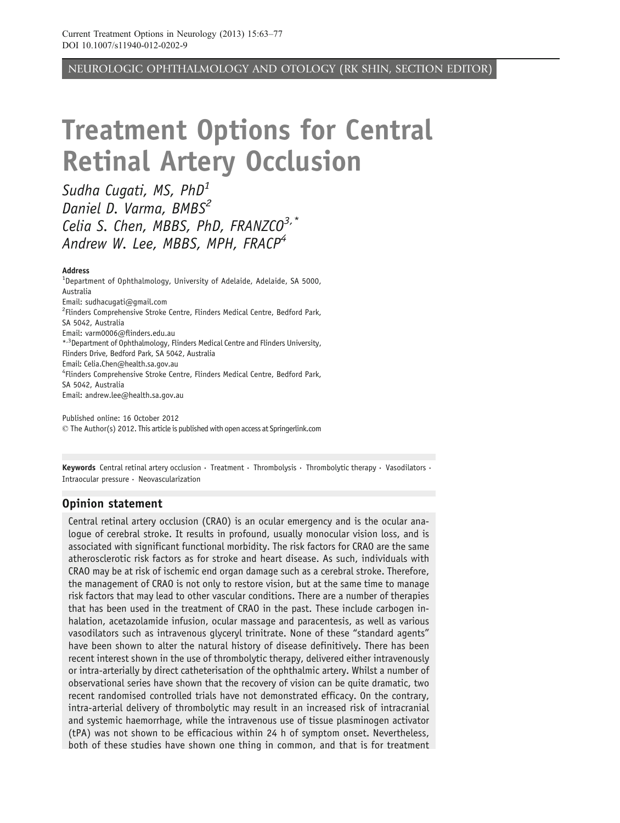NEUROLOGIC OPHTHALMOLOGY AND OTOLOGY (RK SHIN, SECTION EDITOR)

# Treatment Options for Central Retinal Artery Occlusion

Sudha Cugati, MS,  $PhD<sup>1</sup>$ Daniel D. Varma, BMBS<sup>2</sup> Celia S. Chen, MBBS, PhD, FRANZCO<sup>3,\*</sup> Andrew W. Lee, MBBS, MPH, FRACP<sup>4</sup>

#### Address

<sup>1</sup>Department of Ophthalmology, University of Adelaide, Adelaide, SA 5000, Australia Email: sudhacugati@gmail.com <sup>2</sup> Flinders Comprehensive Stroke Centre, Flinders Medical Centre, Bedford Park, SA 5042, Australia Email: varm0006@flinders.edu.au \*,3Department of Ophthalmology, Flinders Medical Centre and Flinders University, Flinders Drive, Bedford Park, SA 5042, Australia Email: Celia.Chen@health.sa.gov.au 4 Flinders Comprehensive Stroke Centre, Flinders Medical Centre, Bedford Park, SA 5042, Australia Email: andrew.lee@health.sa.gov.au

Published online: 16 October 2012  $\odot$  The Author(s) 2012. This article is published with open access at Springerlink.com

Keywords Central retinal artery occlusion  $\cdot$  Treatment  $\cdot$  Thrombolysis  $\cdot$  Thrombolytic therapy  $\cdot$  Vasodilators  $\cdot$ Intraocular pressure  $\cdot$  Neovascularization

#### Opinion statement

Central retinal artery occlusion (CRAO) is an ocular emergency and is the ocular analogue of cerebral stroke. It results in profound, usually monocular vision loss, and is associated with significant functional morbidity. The risk factors for CRAO are the same atherosclerotic risk factors as for stroke and heart disease. As such, individuals with CRAO may be at risk of ischemic end organ damage such as a cerebral stroke. Therefore, the management of CRAO is not only to restore vision, but at the same time to manage risk factors that may lead to other vascular conditions. There are a number of therapies that has been used in the treatment of CRAO in the past. These include carbogen inhalation, acetazolamide infusion, ocular massage and paracentesis, as well as various vasodilators such as intravenous glyceryl trinitrate. None of these "standard agents" have been shown to alter the natural history of disease definitively. There has been recent interest shown in the use of thrombolytic therapy, delivered either intravenously or intra-arterially by direct catheterisation of the ophthalmic artery. Whilst a number of observational series have shown that the recovery of vision can be quite dramatic, two recent randomised controlled trials have not demonstrated efficacy. On the contrary, intra-arterial delivery of thrombolytic may result in an increased risk of intracranial and systemic haemorrhage, while the intravenous use of tissue plasminogen activator (tPA) was not shown to be efficacious within 24 h of symptom onset. Nevertheless, both of these studies have shown one thing in common, and that is for treatment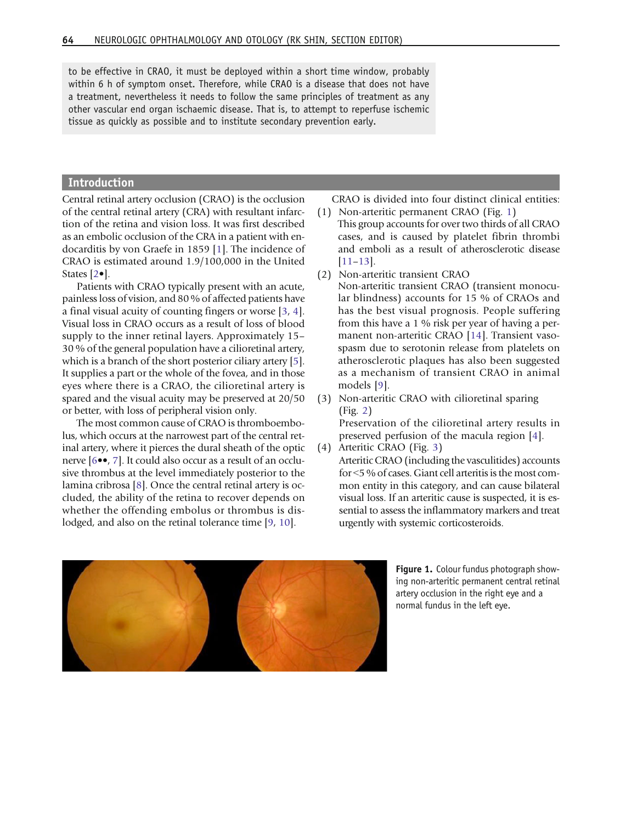to be effective in CRAO, it must be deployed within a short time window, probably within 6 h of symptom onset. Therefore, while CRAO is a disease that does not have a treatment, nevertheless it needs to follow the same principles of treatment as any other vascular end organ ischaemic disease. That is, to attempt to reperfuse ischemic tissue as quickly as possible and to institute secondary prevention early.

#### Introduction

Central retinal artery occlusion (CRAO) is the occlusion of the central retinal artery (CRA) with resultant infarction of the retina and vision loss. It was first described as an embolic occlusion of the CRA in a patient with endocarditis by von Graefe in 1859 [[1](#page-11-0)]. The incidence of CRAO is estimated around 1.9/100,000 in the United States [[2](#page-11-0)•].

Patients with CRAO typically present with an acute, painless loss of vision, and 80 % of affected patients have a final visual acuity of counting fingers or worse [[3](#page-11-0), [4\]](#page-11-0). Visual loss in CRAO occurs as a result of loss of blood supply to the inner retinal layers. Approximately 15– 30 % of the general population have a cilioretinal artery, which is a branch of the short posterior ciliary artery [[5](#page-11-0)]. It supplies a part or the whole of the fovea, and in those eyes where there is a CRAO, the cilioretinal artery is spared and the visual acuity may be preserved at 20/50 or better, with loss of peripheral vision only.

The most common cause of CRAO is thromboembolus, which occurs at the narrowest part of the central retinal artery, where it pierces the dural sheath of the optic nerve [\[6](#page-12-0)••, [7\]](#page-12-0). It could also occur as a result of an occlusive thrombus at the level immediately posterior to the lamina cribrosa [[8](#page-12-0)]. Once the central retinal artery is occluded, the ability of the retina to recover depends on whether the offending embolus or thrombus is dis-lodged, and also on the retinal tolerance time [\[9,](#page-12-0) [10\]](#page-12-0).

CRAO is divided into four distinct clinical entities:

- (1) Non-arteritic permanent CRAO (Fig. 1) This group accounts for over two thirds of all CRAO cases, and is caused by platelet fibrin thrombi and emboli as a result of atherosclerotic disease [\[11](#page-12-0)–[13](#page-12-0)].
- (2) Non-arteritic transient CRAO Non-arteritic transient CRAO (transient monocular blindness) accounts for 15 % of CRAOs and has the best visual prognosis. People suffering from this have a 1 % risk per year of having a permanent non-arteritic CRAO [[14](#page-12-0)]. Transient vasospasm due to serotonin release from platelets on atherosclerotic plaques has also been suggested as a mechanism of transient CRAO in animal models [\[9\]](#page-12-0).
- (3) Non-arteritic CRAO with cilioretinal sparing (Fig. [2\)](#page-2-0)

Preservation of the cilioretinal artery results in preserved perfusion of the macula region [\[4\]](#page-11-0).

(4) Arteritic CRAO (Fig. [3](#page-2-0)) Arteritic CRAO (including the vasculitides) accounts for <5 % of cases. Giant cell arteritis is the most common entity in this category, and can cause bilateral visual loss. If an arteritic cause is suspected, it is essential to assess the inflammatory markers and treat urgently with systemic corticosteroids.



Figure 1. Colour fundus photograph showing non-arteritic permanent central retinal artery occlusion in the right eye and a normal fundus in the left eye.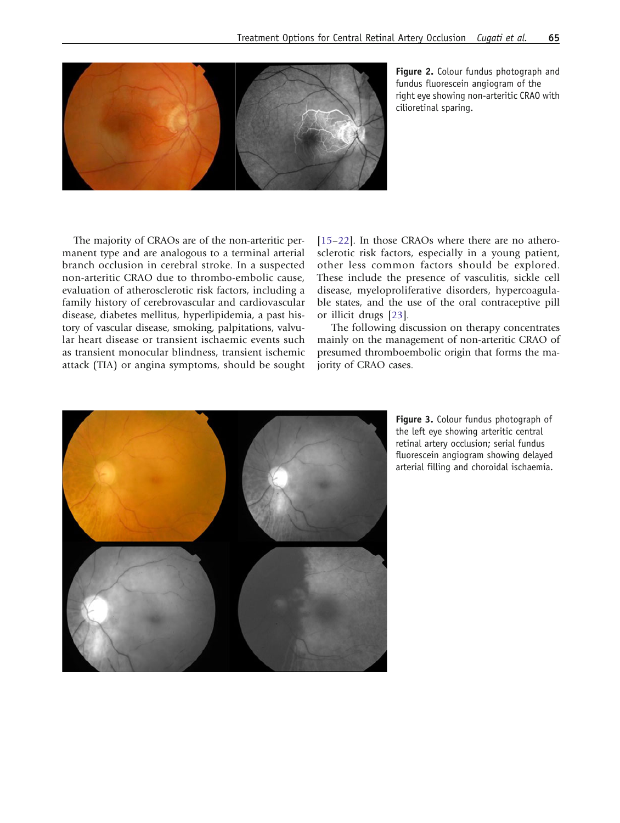<span id="page-2-0"></span>

Figure 2. Colour fundus photograph and fundus fluorescein angiogram of the right eye showing non-arteritic CRAO with cilioretinal sparing.

The majority of CRAOs are of the non-arteritic permanent type and are analogous to a terminal arterial branch occlusion in cerebral stroke. In a suspected non-arteritic CRAO due to thrombo-embolic cause, evaluation of atherosclerotic risk factors, including a family history of cerebrovascular and cardiovascular disease, diabetes mellitus, hyperlipidemia, a past history of vascular disease, smoking, palpitations, valvular heart disease or transient ischaemic events such as transient monocular blindness, transient ischemic attack (TIA) or angina symptoms, should be sought [\[15](#page-12-0)–[22\]](#page-12-0). In those CRAOs where there are no atherosclerotic risk factors, especially in a young patient, other less common factors should be explored. These include the presence of vasculitis, sickle cell disease, myeloproliferative disorders, hypercoagulable states, and the use of the oral contraceptive pill or illicit drugs [\[23](#page-12-0)].

The following discussion on therapy concentrates mainly on the management of non-arteritic CRAO of presumed thromboembolic origin that forms the majority of CRAO cases.



Figure 3. Colour fundus photograph of the left eye showing arteritic central retinal artery occlusion; serial fundus fluorescein angiogram showing delayed arterial filling and choroidal ischaemia.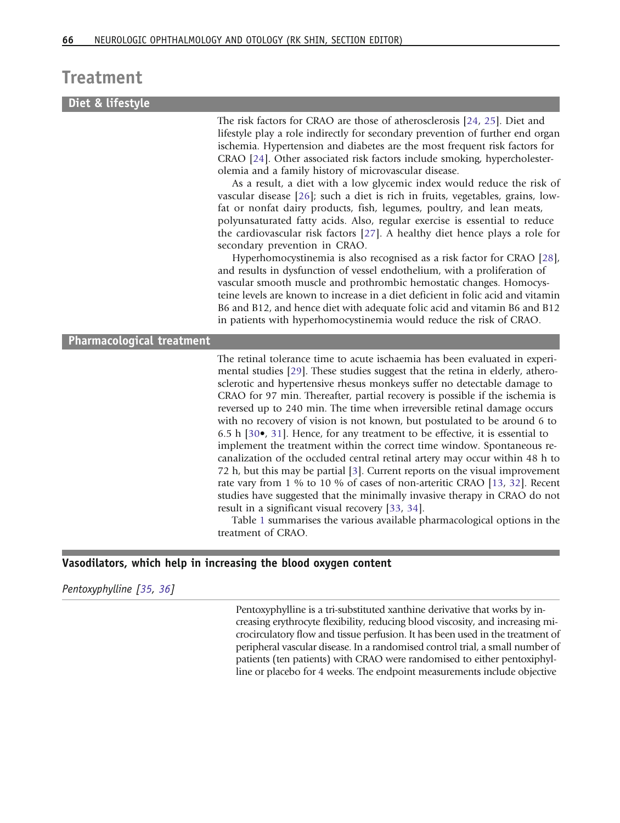### Treatment

### Diet & lifestyle

The risk factors for CRAO are those of atherosclerosis [\[24,](#page-12-0) [25](#page-12-0)]. Diet and lifestyle play a role indirectly for secondary prevention of further end organ ischemia. Hypertension and diabetes are the most frequent risk factors for CRAO [\[24](#page-12-0)]. Other associated risk factors include smoking, hypercholesterolemia and a family history of microvascular disease.

As a result, a diet with a low glycemic index would reduce the risk of vascular disease [[26\]](#page-12-0); such a diet is rich in fruits, vegetables, grains, lowfat or nonfat dairy products, fish, legumes, poultry, and lean meats, polyunsaturated fatty acids. Also, regular exercise is essential to reduce the cardiovascular risk factors [[27](#page-12-0)]. A healthy diet hence plays a role for secondary prevention in CRAO.

Hyperhomocystinemia is also recognised as a risk factor for CRAO [[28](#page-12-0)], and results in dysfunction of vessel endothelium, with a proliferation of vascular smooth muscle and prothrombic hemostatic changes. Homocysteine levels are known to increase in a diet deficient in folic acid and vitamin B6 and B12, and hence diet with adequate folic acid and vitamin B6 and B12 in patients with hyperhomocystinemia would reduce the risk of CRAO.

#### Pharmacological treatment

The retinal tolerance time to acute ischaemia has been evaluated in experimental studies [\[29](#page-12-0)]. These studies suggest that the retina in elderly, atherosclerotic and hypertensive rhesus monkeys suffer no detectable damage to CRAO for 97 min. Thereafter, partial recovery is possible if the ischemia is reversed up to 240 min. The time when irreversible retinal damage occurs with no recovery of vision is not known, but postulated to be around 6 to 6.5 h [[30](#page-12-0)•, [31\]](#page-12-0). Hence, for any treatment to be effective, it is essential to implement the treatment within the correct time window. Spontaneous recanalization of the occluded central retinal artery may occur within 48 h to 72 h, but this may be partial [\[3\]](#page-11-0). Current reports on the visual improvement rate vary from 1 % to 10 % of cases of non-arteritic CRAO [[13,](#page-12-0) [32](#page-12-0)]. Recent studies have suggested that the minimally invasive therapy in CRAO do not result in a significant visual recovery [\[33](#page-12-0), [34](#page-12-0)].

Table [1](#page-4-0) summarises the various available pharmacological options in the treatment of CRAO.

#### Vasodilators, which help in increasing the blood oxygen content

Pentoxyphylline [\[35,](#page-13-0) [36\]](#page-13-0)

Pentoxyphylline is a tri-substituted xanthine derivative that works by increasing erythrocyte flexibility, reducing blood viscosity, and increasing microcirculatory flow and tissue perfusion. It has been used in the treatment of peripheral vascular disease. In a randomised control trial, a small number of patients (ten patients) with CRAO were randomised to either pentoxiphylline or placebo for 4 weeks. The endpoint measurements include objective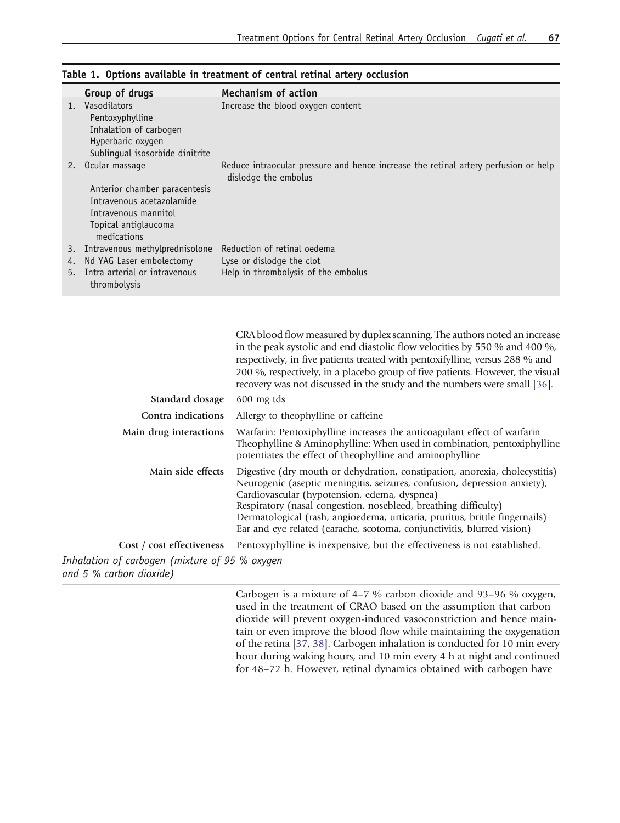|         | Group of drugs                                | <b>Mechanism of action</b>                                                                                  |
|---------|-----------------------------------------------|-------------------------------------------------------------------------------------------------------------|
| $1_{-}$ | Vasodilators                                  | Increase the blood oxygen content                                                                           |
|         | Pentoxyphylline                               |                                                                                                             |
|         | Inhalation of carbogen                        |                                                                                                             |
|         | Hyperbaric oxygen                             |                                                                                                             |
|         | Sublingual isosorbide dinitrite               |                                                                                                             |
| 2.      | Ocular massage                                | Reduce intraocular pressure and hence increase the retinal artery perfusion or help<br>dislodge the embolus |
|         | Anterior chamber paracentesis                 |                                                                                                             |
|         | Intravenous acetazolamide                     |                                                                                                             |
|         | Intravenous mannitol                          |                                                                                                             |
|         | Topical antiglaucoma                          |                                                                                                             |
|         | medications                                   |                                                                                                             |
| 3.      | Intravenous methylprednisolone                | Reduction of retinal oedema                                                                                 |
| 4.      | Nd YAG Laser embolectomy                      | Lyse or dislodge the clot                                                                                   |
| 5.      | Intra arterial or intravenous<br>thrombolysis | Help in thrombolysis of the embolus                                                                         |

<span id="page-4-0"></span>

|  |  |  |  | Table 1. Options available in treatment of central retinal artery occlusion |  |  |  |  |  |
|--|--|--|--|-----------------------------------------------------------------------------|--|--|--|--|--|
|--|--|--|--|-----------------------------------------------------------------------------|--|--|--|--|--|

|                                                                           | CRA blood flow measured by duplex scanning. The authors noted an increase<br>in the peak systolic and end diastolic flow velocities by 550 % and 400 %,<br>respectively, in five patients treated with pentoxifylline, versus 288 % and<br>200 %, respectively, in a placebo group of five patients. However, the visual<br>recovery was not discussed in the study and the numbers were small [36].                                 |  |  |  |
|---------------------------------------------------------------------------|--------------------------------------------------------------------------------------------------------------------------------------------------------------------------------------------------------------------------------------------------------------------------------------------------------------------------------------------------------------------------------------------------------------------------------------|--|--|--|
| Standard dosage                                                           | $600$ mg tds                                                                                                                                                                                                                                                                                                                                                                                                                         |  |  |  |
| Contra indications                                                        | Allergy to theophylline or caffeine.                                                                                                                                                                                                                                                                                                                                                                                                 |  |  |  |
| Main drug interactions                                                    | Warfarin: Pentoxiphylline increases the anticoagulant effect of warfarin<br>Theophylline & Aminophylline: When used in combination, pentoxiphylline<br>potentiates the effect of theophylline and aminophylline                                                                                                                                                                                                                      |  |  |  |
| Main side effects                                                         | Digestive (dry mouth or dehydration, constipation, anorexia, cholecystitis)<br>Neurogenic (aseptic meningitis, seizures, confusion, depression anxiety),<br>Cardiovascular (hypotension, edema, dyspnea)<br>Respiratory (nasal congestion, nosebleed, breathing difficulty)<br>Dermatological (rash, angioedema, urticaria, pruritus, brittle fingernails)<br>Ear and eye related (earache, scotoma, conjunctivitis, blurred vision) |  |  |  |
| Cost / cost effectiveness                                                 | Pentoxyphylline is inexpensive, but the effectiveness is not established.                                                                                                                                                                                                                                                                                                                                                            |  |  |  |
| Inhalation of carbogen (mixture of 95 % oxygen<br>and 5 % carbon dioxide) |                                                                                                                                                                                                                                                                                                                                                                                                                                      |  |  |  |

Carbogen is a mixture of 4–7 % carbon dioxide and 93–96 % oxygen, used in the treatment of CRAO based on the assumption that carbon dioxide will prevent oxygen-induced vasoconstriction and hence maintain or even improve the blood flow while maintaining the oxygenation of the retina [[37,](#page-13-0) [38\]](#page-13-0). Carbogen inhalation is conducted for 10 min every hour during waking hours, and 10 min every 4 h at night and continued for 48–72 h. However, retinal dynamics obtained with carbogen have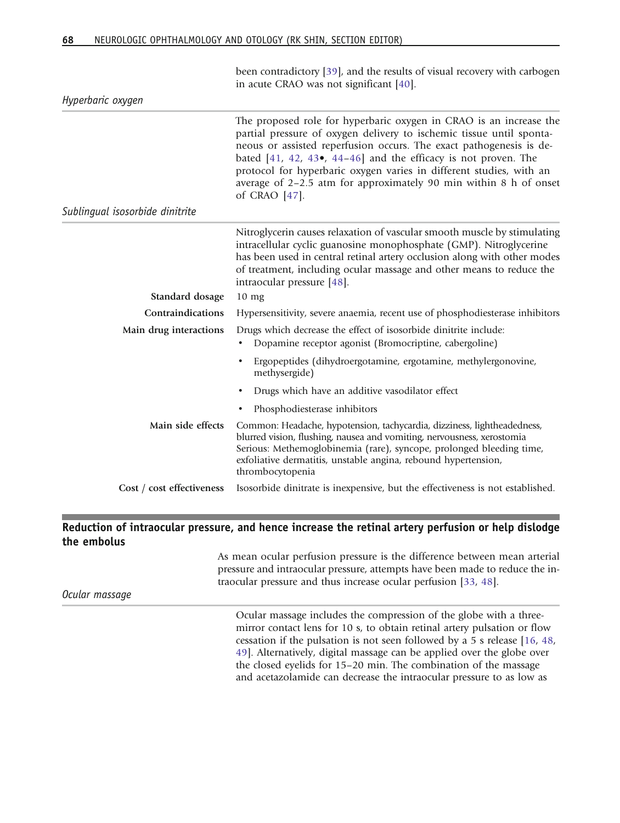|                                 | been contradictory [39], and the results of visual recovery with carbogen<br>in acute CRAO was not significant [40].                                                                                                                                                                                                                                                                                                                                 |
|---------------------------------|------------------------------------------------------------------------------------------------------------------------------------------------------------------------------------------------------------------------------------------------------------------------------------------------------------------------------------------------------------------------------------------------------------------------------------------------------|
| Hyperbaric oxygen               |                                                                                                                                                                                                                                                                                                                                                                                                                                                      |
|                                 | The proposed role for hyperbaric oxygen in CRAO is an increase the<br>partial pressure of oxygen delivery to ischemic tissue until sponta-<br>neous or assisted reperfusion occurs. The exact pathogenesis is de-<br>bated $[41, 42, 43$ , $44-46]$ and the efficacy is not proven. The<br>protocol for hyperbaric oxygen varies in different studies, with an<br>average of 2-2.5 atm for approximately 90 min within 8 h of onset<br>of CRAO [47]. |
| Sublingual isosorbide dinitrite |                                                                                                                                                                                                                                                                                                                                                                                                                                                      |
| Standard dosage                 | Nitroglycerin causes relaxation of vascular smooth muscle by stimulating<br>intracellular cyclic guanosine monophosphate (GMP). Nitroglycerine<br>has been used in central retinal artery occlusion along with other modes<br>of treatment, including ocular massage and other means to reduce the<br>intraocular pressure [48].<br>$10 \text{ mg}$                                                                                                  |
| Contraindications               | Hypersensitivity, severe anaemia, recent use of phosphodiesterase inhibitors                                                                                                                                                                                                                                                                                                                                                                         |
| Main drug interactions          | Drugs which decrease the effect of isosorbide dinitrite include:<br>Dopamine receptor agonist (Bromocriptine, cabergoline)<br>٠                                                                                                                                                                                                                                                                                                                      |
|                                 | Ergopeptides (dihydroergotamine, ergotamine, methylergonovine,<br>٠<br>methysergide)                                                                                                                                                                                                                                                                                                                                                                 |
|                                 | Drugs which have an additive vasodilator effect<br>٠                                                                                                                                                                                                                                                                                                                                                                                                 |
|                                 | Phosphodiesterase inhibitors                                                                                                                                                                                                                                                                                                                                                                                                                         |
| Main side effects               | Common: Headache, hypotension, tachycardia, dizziness, lightheadedness,<br>blurred vision, flushing, nausea and vomiting, nervousness, xerostomia<br>Serious: Methemoglobinemia (rare), syncope, prolonged bleeding time,<br>exfoliative dermatitis, unstable angina, rebound hypertension,<br>thrombocytopenia                                                                                                                                      |
| Cost / cost effectiveness       | Isosorbide dinitrate is inexpensive, but the effectiveness is not established.                                                                                                                                                                                                                                                                                                                                                                       |

#### Reduction of intraocular pressure, and hence increase the retinal artery perfusion or help dislodge the embolus

As mean ocular perfusion pressure is the difference between mean arterial pressure and intraocular pressure, attempts have been made to reduce the intraocular pressure and thus increase ocular perfusion [[33,](#page-12-0) [48](#page-13-0)].

Ocular massage

Ocular massage includes the compression of the globe with a threemirror contact lens for 10 s, to obtain retinal artery pulsation or flow cessation if the pulsation is not seen followed by a 5 s release [[16,](#page-12-0) [48,](#page-13-0) [49\]](#page-13-0). Alternatively, digital massage can be applied over the globe over the closed eyelids for 15–20 min. The combination of the massage and acetazolamide can decrease the intraocular pressure to as low as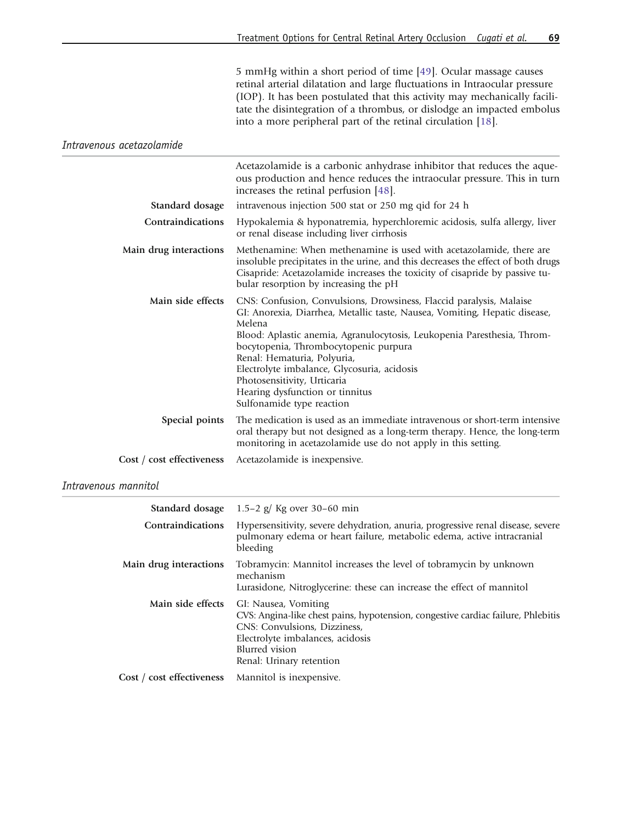5 mmHg within a short period of time [[49\]](#page-13-0). Ocular massage causes retinal arterial dilatation and large fluctuations in Intraocular pressure (IOP). It has been postulated that this activity may mechanically facilitate the disintegration of a thrombus, or dislodge an impacted embolus into a more peripheral part of the retinal circulation [\[18](#page-12-0)].

Intravenous acetazolamide

| Standard dosage           | Acetazolamide is a carbonic anhydrase inhibitor that reduces the aque-<br>ous production and hence reduces the intraocular pressure. This in turn<br>increases the retinal perfusion [48].<br>intravenous injection 500 stat or 250 mg qid for 24 h                                                                                                                                                                                                          |
|---------------------------|--------------------------------------------------------------------------------------------------------------------------------------------------------------------------------------------------------------------------------------------------------------------------------------------------------------------------------------------------------------------------------------------------------------------------------------------------------------|
|                           |                                                                                                                                                                                                                                                                                                                                                                                                                                                              |
| Contraindications         | Hypokalemia & hyponatremia, hyperchloremic acidosis, sulfa allergy, liver<br>or renal disease including liver cirrhosis                                                                                                                                                                                                                                                                                                                                      |
| Main drug interactions    | Methenamine: When methenamine is used with acetazolamide, there are<br>insoluble precipitates in the urine, and this decreases the effect of both drugs<br>Cisapride: Acetazolamide increases the toxicity of cisapride by passive tu-<br>bular resorption by increasing the pH                                                                                                                                                                              |
| Main side effects         | CNS: Confusion, Convulsions, Drowsiness, Flaccid paralysis, Malaise<br>GI: Anorexia, Diarrhea, Metallic taste, Nausea, Vomiting, Hepatic disease,<br>Melena<br>Blood: Aplastic anemia, Agranulocytosis, Leukopenia Paresthesia, Throm-<br>bocytopenia, Thrombocytopenic purpura<br>Renal: Hematuria, Polyuria,<br>Electrolyte imbalance, Glycosuria, acidosis<br>Photosensitivity, Urticaria<br>Hearing dysfunction or tinnitus<br>Sulfonamide type reaction |
| Special points            | The medication is used as an immediate intravenous or short-term intensive<br>oral therapy but not designed as a long-term therapy. Hence, the long-term<br>monitoring in acetazolamide use do not apply in this setting.                                                                                                                                                                                                                                    |
| Cost / cost effectiveness | Acetazolamide is inexpensive.                                                                                                                                                                                                                                                                                                                                                                                                                                |

#### Intravenous mannitol

|                           | <b>Standard dosage</b> $1.5-2$ g/ Kg over 30-60 min                                                                                                                                                                        |
|---------------------------|----------------------------------------------------------------------------------------------------------------------------------------------------------------------------------------------------------------------------|
| <b>Contraindications</b>  | Hypersensitivity, severe dehydration, anuria, progressive renal disease, severe<br>pulmonary edema or heart failure, metabolic edema, active intracranial<br>bleeding                                                      |
| Main drug interactions    | Tobramycin: Mannitol increases the level of tobramycin by unknown<br>mechanism<br>Lurasidone, Nitroglycerine: these can increase the effect of mannitol                                                                    |
| Main side effects         | GI: Nausea, Vomiting<br>CVS: Angina-like chest pains, hypotension, congestive cardiac failure, Phlebitis<br>CNS: Convulsions, Dizziness,<br>Electrolyte imbalances, acidosis<br>Blurred vision<br>Renal: Urinary retention |
| Cost / cost effectiveness | Mannitol is inexpensive.                                                                                                                                                                                                   |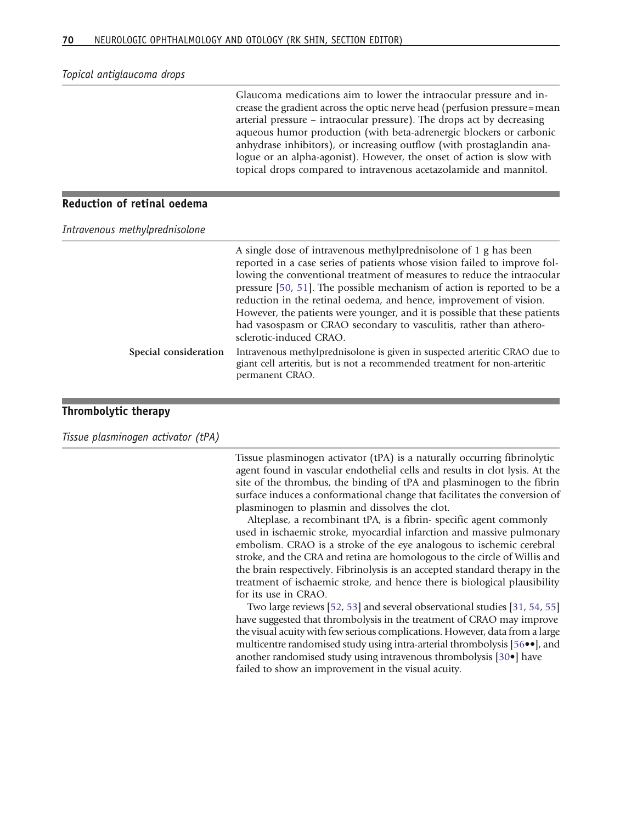Topical antiglaucoma drops

Glaucoma medications aim to lower the intraocular pressure and increase the gradient across the optic nerve head (perfusion pressure=mean arterial pressure – intraocular pressure). The drops act by decreasing aqueous humor production (with beta-adrenergic blockers or carbonic anhydrase inhibitors), or increasing outflow (with prostaglandin analogue or an alpha-agonist). However, the onset of action is slow with topical drops compared to intravenous acetazolamide and mannitol.

#### Reduction of retinal oedema

Intravenous methylprednisolone

|                       | A single dose of intravenous methylprednisolone of 1 g has been<br>reported in a case series of patients whose vision failed to improve fol-<br>lowing the conventional treatment of measures to reduce the intraocular<br>pressure [50, 51]. The possible mechanism of action is reported to be a<br>reduction in the retinal oedema, and hence, improvement of vision.<br>However, the patients were younger, and it is possible that these patients<br>had vasospasm or CRAO secondary to vasculitis, rather than athero-<br>sclerotic-induced CRAO. |
|-----------------------|---------------------------------------------------------------------------------------------------------------------------------------------------------------------------------------------------------------------------------------------------------------------------------------------------------------------------------------------------------------------------------------------------------------------------------------------------------------------------------------------------------------------------------------------------------|
| Special consideration | Intravenous methylprednisolone is given in suspected arteritic CRAO due to<br>giant cell arteritis, but is not a recommended treatment for non-arteritic<br>permanent CRAO.                                                                                                                                                                                                                                                                                                                                                                             |

#### Thrombolytic therapy

Tissue plasminogen activator (tPA)

Tissue plasminogen activator (tPA) is a naturally occurring fibrinolytic agent found in vascular endothelial cells and results in clot lysis. At the site of the thrombus, the binding of tPA and plasminogen to the fibrin surface induces a conformational change that facilitates the conversion of plasminogen to plasmin and dissolves the clot.

Alteplase, a recombinant tPA, is a fibrin- specific agent commonly used in ischaemic stroke, myocardial infarction and massive pulmonary embolism. CRAO is a stroke of the eye analogous to ischemic cerebral stroke, and the CRA and retina are homologous to the circle of Willis and the brain respectively. Fibrinolysis is an accepted standard therapy in the treatment of ischaemic stroke, and hence there is biological plausibility for its use in CRAO.

Two large reviews [\[52](#page-13-0), [53\]](#page-13-0) and several observational studies [[31](#page-12-0), [54,](#page-13-0) [55\]](#page-13-0) have suggested that thrombolysis in the treatment of CRAO may improve the visual acuity with few serious complications. However, data from a large multicentre randomised study using intra-arterial thrombolysis [\[56](#page-13-0)••], and another randomised study using intravenous thrombolysis [\[30](#page-12-0)•] have failed to show an improvement in the visual acuity.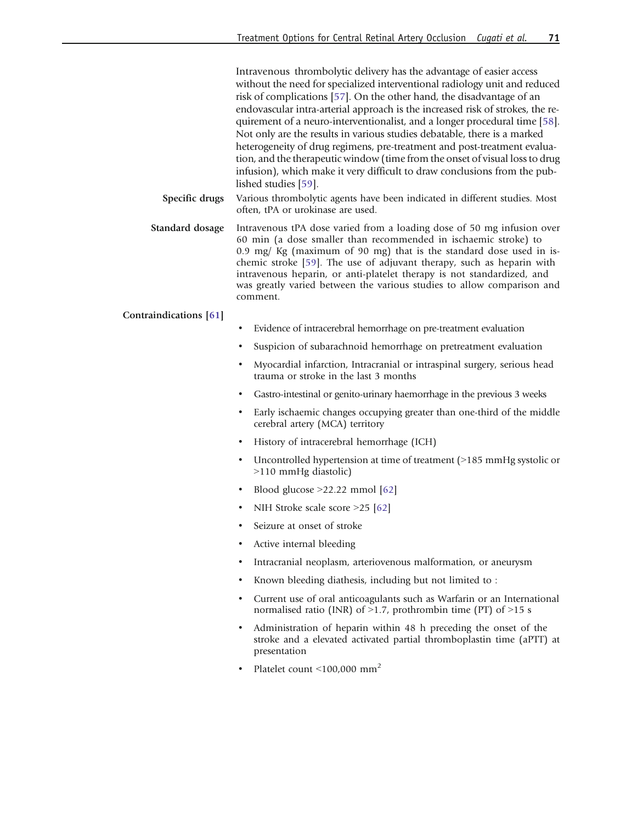Intravenous thrombolytic delivery has the advantage of easier access without the need for specialized interventional radiology unit and reduced risk of complications [\[57\]](#page-13-0). On the other hand, the disadvantage of an endovascular intra-arterial approach is the increased risk of strokes, the requirement of a neuro-interventionalist, and a longer procedural time [\[58](#page-13-0)]. Not only are the results in various studies debatable, there is a marked heterogeneity of drug regimens, pre-treatment and post-treatment evaluation, and the therapeutic window (time from the onset of visual loss to drug infusion), which make it very difficult to draw conclusions from the published studies [[59](#page-13-0)].

Specific drugs Various thrombolytic agents have been indicated in different studies. Most often, tPA or urokinase are used.

Standard dosage Intravenous tPA dose varied from a loading dose of 50 mg infusion over 60 min (a dose smaller than recommended in ischaemic stroke) to 0.9 mg/ Kg (maximum of 90 mg) that is the standard dose used in ischemic stroke [\[59](#page-13-0)]. The use of adjuvant therapy, such as heparin with intravenous heparin, or anti-platelet therapy is not standardized, and was greatly varied between the various studies to allow comparison and comment.

#### Contraindications [\[61\]](#page-13-0)

- Evidence of intracerebral hemorrhage on pre-treatment evaluation
- Suspicion of subarachnoid hemorrhage on pretreatment evaluation
- & Myocardial infarction, Intracranial or intraspinal surgery, serious head trauma or stroke in the last 3 months
- & Gastro-intestinal or genito-urinary haemorrhage in the previous 3 weeks
- Early ischaemic changes occupying greater than one-third of the middle cerebral artery (MCA) territory
- History of intracerebral hemorrhage (ICH)
- & Uncontrolled hypertension at time of treatment (9185 mmHg systolic or 9110 mmHg diastolic)
- Blood glucose  $>22.22$  mmol [[62](#page-13-0)]
- NIH Stroke scale score  $>25$  [[62](#page-13-0)]
- Seizure at onset of stroke
- Active internal bleeding
- Intracranial neoplasm, arteriovenous malformation, or aneurysm
- & Known bleeding diathesis, including but not limited to :
- & Current use of oral anticoagulants such as Warfarin or an International normalised ratio (INR) of  $>1.7$ , prothrombin time (PT) of  $>15$  s
- & Administration of heparin within 48 h preceding the onset of the stroke and a elevated activated partial thromboplastin time (aPTT) at presentation
- Platelet count  $\leq 100,000$  mm<sup>2</sup>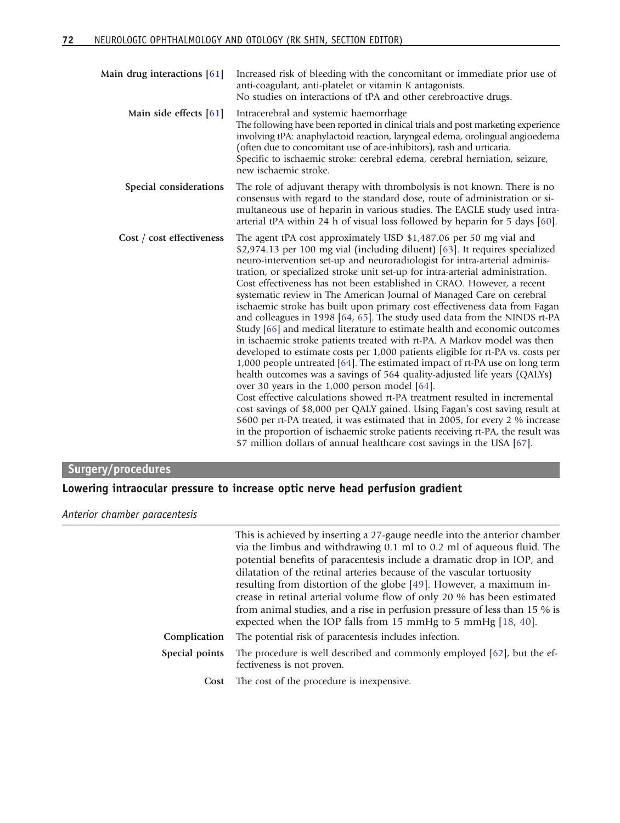| Main drug interactions [61] | Increased risk of bleeding with the concomitant or immediate prior use of<br>anti-coagulant, anti-platelet or vitamin K antagonists.<br>No studies on interactions of tPA and other cerebroactive drugs.                                                                                                                                                                                                                                                                                                                                                                                                                                                                                                                                                                                                                                                                                                                                                                                                                                                                                                                                                                                                                                                                                                                                                                                                                                                                                               |
|-----------------------------|--------------------------------------------------------------------------------------------------------------------------------------------------------------------------------------------------------------------------------------------------------------------------------------------------------------------------------------------------------------------------------------------------------------------------------------------------------------------------------------------------------------------------------------------------------------------------------------------------------------------------------------------------------------------------------------------------------------------------------------------------------------------------------------------------------------------------------------------------------------------------------------------------------------------------------------------------------------------------------------------------------------------------------------------------------------------------------------------------------------------------------------------------------------------------------------------------------------------------------------------------------------------------------------------------------------------------------------------------------------------------------------------------------------------------------------------------------------------------------------------------------|
| Main side effects [61]      | Intracerebral and systemic haemorrhage<br>The following have been reported in clinical trials and post marketing experience<br>involving tPA: anaphylactoid reaction, laryngeal edema, orolingual angioedema<br>(often due to concomitant use of ace-inhibitors), rash and urticaria.<br>Specific to ischaemic stroke: cerebral edema, cerebral herniation, seizure,<br>new ischaemic stroke.                                                                                                                                                                                                                                                                                                                                                                                                                                                                                                                                                                                                                                                                                                                                                                                                                                                                                                                                                                                                                                                                                                          |
| Special considerations      | The role of adjuvant therapy with thrombolysis is not known. There is no<br>consensus with regard to the standard dose, route of administration or si-<br>multaneous use of heparin in various studies. The EAGLE study used intra-<br>arterial tPA within 24 h of visual loss followed by heparin for 5 days [60].                                                                                                                                                                                                                                                                                                                                                                                                                                                                                                                                                                                                                                                                                                                                                                                                                                                                                                                                                                                                                                                                                                                                                                                    |
| Cost / cost effectiveness   | The agent tPA cost approximately USD \$1,487.06 per 50 mg vial and<br>\$2,974.13 per 100 mg vial (including diluent) [63]. It requires specialized<br>neuro-intervention set-up and neuroradiologist for intra-arterial adminis-<br>tration, or specialized stroke unit set-up for intra-arterial administration.<br>Cost effectiveness has not been established in CRAO. However, a recent<br>systematic review in The American Journal of Managed Care on cerebral<br>ischaemic stroke has built upon primary cost effectiveness data from Fagan<br>and colleagues in 1998 [64, 65]. The study used data from the NINDS rt-PA<br>Study [66] and medical literature to estimate health and economic outcomes<br>in ischaemic stroke patients treated with rt-PA. A Markov model was then<br>developed to estimate costs per 1,000 patients eligible for rt-PA vs. costs per<br>1,000 people untreated [64]. The estimated impact of rt-PA use on long term<br>health outcomes was a savings of 564 quality-adjusted life years (QALYs)<br>over 30 years in the $1,000$ person model [64].<br>Cost effective calculations showed rt-PA treatment resulted in incremental<br>cost savings of \$8,000 per QALY gained. Using Fagan's cost saving result at<br>\$600 per rt-PA treated, it was estimated that in 2005, for every 2 % increase<br>in the proportion of ischaemic stroke patients receiving rt-PA, the result was<br>\$7 million dollars of annual healthcare cost savings in the USA [67]. |

## Surgery/procedures

### Lowering intraocular pressure to increase optic nerve head perfusion gradient

Anterior chamber paracentesis

|                | This is achieved by inserting a 27-gauge needle into the anterior chamber<br>via the limbus and withdrawing 0.1 ml to 0.2 ml of aqueous fluid. The<br>potential benefits of paracentesis include a dramatic drop in IOP, and<br>dilatation of the retinal arteries because of the vascular tortuosity<br>resulting from distortion of the globe [49]. However, a maximum in-<br>crease in retinal arterial volume flow of only 20 % has been estimated<br>from animal studies, and a rise in perfusion pressure of less than 15 % is |
|----------------|--------------------------------------------------------------------------------------------------------------------------------------------------------------------------------------------------------------------------------------------------------------------------------------------------------------------------------------------------------------------------------------------------------------------------------------------------------------------------------------------------------------------------------------|
| Complication   | The potential risk of paracentesis includes infection.                                                                                                                                                                                                                                                                                                                                                                                                                                                                               |
| Special points | The procedure is well described and commonly employed [62], but the ef-<br>fectiveness is not proven.                                                                                                                                                                                                                                                                                                                                                                                                                                |
| Cost           | The cost of the procedure is inexpensive.                                                                                                                                                                                                                                                                                                                                                                                                                                                                                            |
|                | expected when the IOP falls from 15 mmHg to 5 mmHg [18, 40].                                                                                                                                                                                                                                                                                                                                                                                                                                                                         |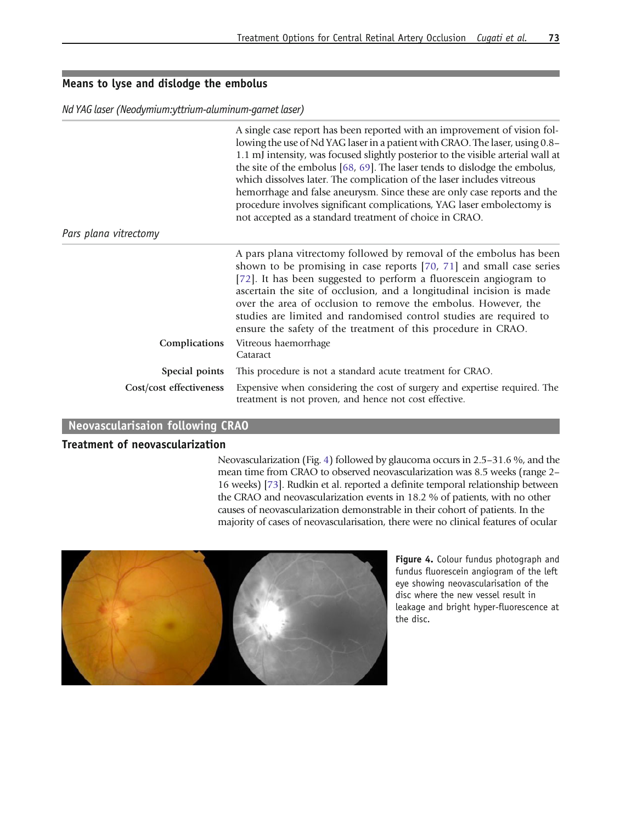#### Means to lyse and dislodge the embolus

Nd YAG laser (Neodymium:yttrium-aluminum-garnet laser)

|                         | A single case report has been reported with an improvement of vision fol-<br>lowing the use of Nd YAG laser in a patient with CRAO. The laser, using 0.8–<br>1.1 mJ intensity, was focused slightly posterior to the visible arterial wall at<br>the site of the embolus [68, 69]. The laser tends to dislodge the embolus,<br>which dissolves later. The complication of the laser includes vitreous<br>hemorrhage and false aneurysm. Since these are only case reports and the<br>procedure involves significant complications, YAG laser embolectomy is<br>not accepted as a standard treatment of choice in CRAO. |
|-------------------------|------------------------------------------------------------------------------------------------------------------------------------------------------------------------------------------------------------------------------------------------------------------------------------------------------------------------------------------------------------------------------------------------------------------------------------------------------------------------------------------------------------------------------------------------------------------------------------------------------------------------|
| Pars plana vitrectomy   |                                                                                                                                                                                                                                                                                                                                                                                                                                                                                                                                                                                                                        |
| Complications           | A pars plana vitrectomy followed by removal of the embolus has been<br>shown to be promising in case reports [70, 71] and small case series<br>[72]. It has been suggested to perform a fluorescein angiogram to<br>ascertain the site of occlusion, and a longitudinal incision is made<br>over the area of occlusion to remove the embolus. However, the<br>studies are limited and randomised control studies are required to<br>ensure the safety of the treatment of this procedure in CRAO.<br>Vitreous haemorrhage<br>Cataract                                                                                  |
| Special points          | This procedure is not a standard acute treatment for CRAO.                                                                                                                                                                                                                                                                                                                                                                                                                                                                                                                                                             |
| Cost/cost effectiveness | Expensive when considering the cost of surgery and expertise required. The<br>treatment is not proven, and hence not cost effective.                                                                                                                                                                                                                                                                                                                                                                                                                                                                                   |

#### Neovascularisaion following CRAO

#### Treatment of neovascularization

Neovascularization (Fig. 4) followed by glaucoma occurs in 2.5–31.6 %, and the mean time from CRAO to observed neovascularization was 8.5 weeks (range 2– 16 weeks) [\[73\]](#page-14-0). Rudkin et al. reported a definite temporal relationship between the CRAO and neovascularization events in 18.2 % of patients, with no other causes of neovascularization demonstrable in their cohort of patients. In the majority of cases of neovascularisation, there were no clinical features of ocular



Figure 4. Colour fundus photograph and fundus fluorescein angiogram of the left eye showing neovascularisation of the disc where the new vessel result in leakage and bright hyper-fluorescence at the disc.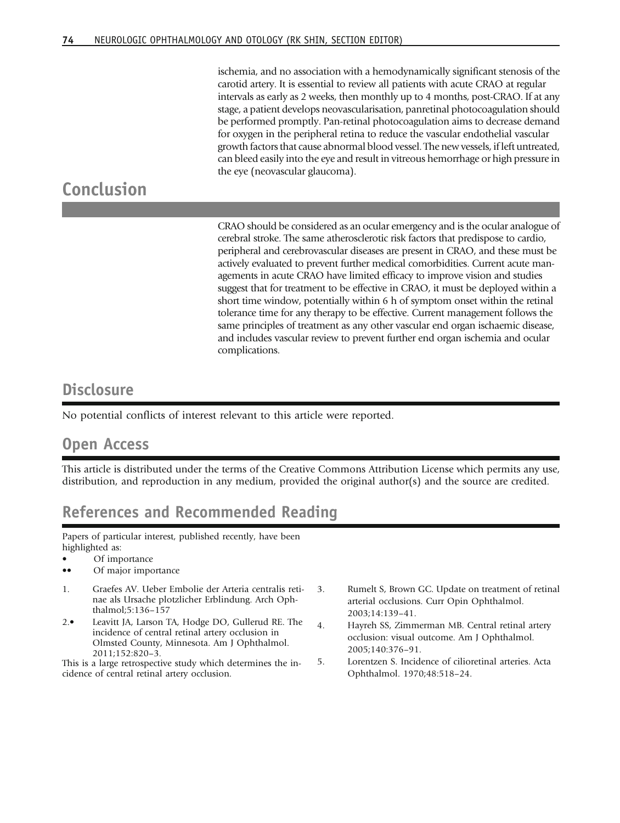ischemia, and no association with a hemodynamically significant stenosis of the carotid artery. It is essential to review all patients with acute CRAO at regular intervals as early as 2 weeks, then monthly up to 4 months, post-CRAO. If at any stage, a patient develops neovascularisation, panretinal photocoagulation should be performed promptly. Pan-retinal photocoagulation aims to decrease demand for oxygen in the peripheral retina to reduce the vascular endothelial vascular growth factors that cause abnormal blood vessel. The new vessels, if left untreated, can bleed easily into the eye and result in vitreous hemorrhage or high pressure in the eye (neovascular glaucoma).

## <span id="page-11-0"></span>Conclusion

CRAO should be considered as an ocular emergency and is the ocular analogue of cerebral stroke. The same atherosclerotic risk factors that predispose to cardio, peripheral and cerebrovascular diseases are present in CRAO, and these must be actively evaluated to prevent further medical comorbidities. Current acute managements in acute CRAO have limited efficacy to improve vision and studies suggest that for treatment to be effective in CRAO, it must be deployed within a short time window, potentially within 6 h of symptom onset within the retinal tolerance time for any therapy to be effective. Current management follows the same principles of treatment as any other vascular end organ ischaemic disease, and includes vascular review to prevent further end organ ischemia and ocular complications.

## **Disclosure**

No potential conflicts of interest relevant to this article were reported.

## Open Access

This article is distributed under the terms of the Creative Commons Attribution License which permits any use, distribution, and reproduction in any medium, provided the original author(s) and the source are credited.

## References and Recommended Reading

Papers of particular interest, published recently, have been highlighted as:

Of importance

- Of major importance
- 1. Graefes AV. Ueber Embolie der Arteria centralis retinae als Ursache plotzlicher Erblindung. Arch Ophthalmol;5:136–157
- 2.• Leavitt JA, Larson TA, Hodge DO, Gullerud RE. The incidence of central retinal artery occlusion in Olmsted County, Minnesota. Am J Ophthalmol. 2011;152:820–3.

This is a large retrospective study which determines the incidence of central retinal artery occlusion.

- 3. Rumelt S, Brown GC. Update on treatment of retinal arterial occlusions. Curr Opin Ophthalmol. 2003;14:139–41.
- 4. Hayreh SS, Zimmerman MB. Central retinal artery occlusion: visual outcome. Am J Ophthalmol. 2005;140:376–91.
- 5. Lorentzen S. Incidence of cilioretinal arteries. Acta Ophthalmol. 1970;48:518–24.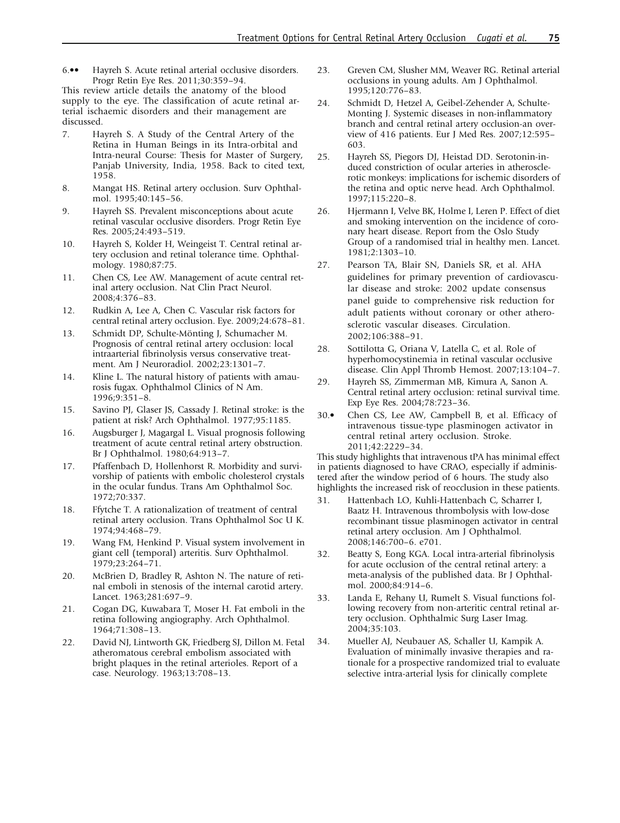<span id="page-12-0"></span>6.•• Hayreh S. Acute retinal arterial occlusive disorders. Progr Retin Eye Res. 2011;30:359–94.

This review article details the anatomy of the blood supply to the eye. The classification of acute retinal arterial ischaemic disorders and their management are discussed.

- 7. Hayreh S. A Study of the Central Artery of the Retina in Human Beings in its Intra-orbital and Intra-neural Course: Thesis for Master of Surgery, Panjab University, India, 1958. Back to cited text, 1958.
- 8. Mangat HS. Retinal artery occlusion. Surv Ophthalmol. 1995;40:145–56.
- 9. Hayreh SS. Prevalent misconceptions about acute retinal vascular occlusive disorders. Progr Retin Eye Res. 2005;24:493–519.
- 10. Hayreh S, Kolder H, Weingeist T. Central retinal artery occlusion and retinal tolerance time. Ophthalmology. 1980;87:75.
- 11. Chen CS, Lee AW. Management of acute central retinal artery occlusion. Nat Clin Pract Neurol. 2008;4:376–83.
- 12. Rudkin A, Lee A, Chen C. Vascular risk factors for central retinal artery occlusion. Eye. 2009;24:678–81.
- 13. Schmidt DP, Schulte-Mönting J, Schumacher M. Prognosis of central retinal artery occlusion: local intraarterial fibrinolysis versus conservative treatment. Am J Neuroradiol. 2002;23:1301–7.
- 14. Kline L. The natural history of patients with amaurosis fugax. Ophthalmol Clinics of N Am. 1996;9:351–8.
- 15. Savino PJ, Glaser JS, Cassady J. Retinal stroke: is the patient at risk? Arch Ophthalmol. 1977;95:1185.
- 16. Augsburger J, Magargal L. Visual prognosis following treatment of acute central retinal artery obstruction. Br J Ophthalmol. 1980;64:913–7.
- 17. Pfaffenbach D, Hollenhorst R. Morbidity and survivorship of patients with embolic cholesterol crystals in the ocular fundus. Trans Am Ophthalmol Soc. 1972;70:337.
- 18. Ffytche T. A rationalization of treatment of central retinal artery occlusion. Trans Ophthalmol Soc U K. 1974;94:468–79.
- 19. Wang FM, Henkind P. Visual system involvement in giant cell (temporal) arteritis. Surv Ophthalmol. 1979;23:264–71.
- 20. McBrien D, Bradley R, Ashton N. The nature of retinal emboli in stenosis of the internal carotid artery. Lancet. 1963;281:697–9.
- 21. Cogan DG, Kuwabara T, Moser H. Fat emboli in the retina following angiography. Arch Ophthalmol. 1964;71:308–13.
- 22. David NJ, Lintworth GK, Friedberg SJ, Dillon M. Fetal atheromatous cerebral embolism associated with bright plaques in the retinal arterioles. Report of a case. Neurology. 1963;13:708–13.
- 23. Greven CM, Slusher MM, Weaver RG. Retinal arterial occlusions in young adults. Am J Ophthalmol. 1995;120:776–83.
- 24. Schmidt D, Hetzel A, Geibel-Zehender A, Schulte-Monting J. Systemic diseases in non-inflammatory branch and central retinal artery occlusion-an overview of 416 patients. Eur J Med Res. 2007;12:595– 603.
- 25. Hayreh SS, Piegors DJ, Heistad DD. Serotonin-induced constriction of ocular arteries in atherosclerotic monkeys: implications for ischemic disorders of the retina and optic nerve head. Arch Ophthalmol. 1997;115:220–8.
- 26. Hjermann I, Velve BK, Holme I, Leren P. Effect of diet and smoking intervention on the incidence of coronary heart disease. Report from the Oslo Study Group of a randomised trial in healthy men. Lancet. 1981;2:1303–10.
- 27. Pearson TA, Blair SN, Daniels SR, et al. AHA guidelines for primary prevention of cardiovascular disease and stroke: 2002 update consensus panel guide to comprehensive risk reduction for adult patients without coronary or other atherosclerotic vascular diseases. Circulation. 2002;106:388–91.
- 28. Sottilotta G, Oriana V, Latella C, et al. Role of hyperhomocystinemia in retinal vascular occlusive disease. Clin Appl Thromb Hemost. 2007;13:104–7.
- 29. Hayreh SS, Zimmerman MB, Kimura A, Sanon A. Central retinal artery occlusion: retinal survival time. Exp Eye Res. 2004;78:723–36.
- 30.• Chen CS, Lee AW, Campbell B, et al. Efficacy of intravenous tissue-type plasminogen activator in central retinal artery occlusion. Stroke. 2011;42:2229–34.

This study highlights that intravenous tPA has minimal effect in patients diagnosed to have CRAO, especially if administered after the window period of 6 hours. The study also highlights the increased risk of reocclusion in these patients.

- 31. Hattenbach LO, Kuhli-Hattenbach C, Scharrer I, Baatz H. Intravenous thrombolysis with low-dose recombinant tissue plasminogen activator in central retinal artery occlusion. Am J Ophthalmol. 2008;146:700–6. e701.
- 32. Beatty S, Eong KGA. Local intra-arterial fibrinolysis for acute occlusion of the central retinal artery: a meta-analysis of the published data. Br J Ophthalmol. 2000;84:914–6.
- 33. Landa E, Rehany U, Rumelt S. Visual functions following recovery from non-arteritic central retinal artery occlusion. Ophthalmic Surg Laser Imag. 2004;35:103.
- 34. Mueller AJ, Neubauer AS, Schaller U, Kampik A. Evaluation of minimally invasive therapies and rationale for a prospective randomized trial to evaluate selective intra-arterial lysis for clinically complete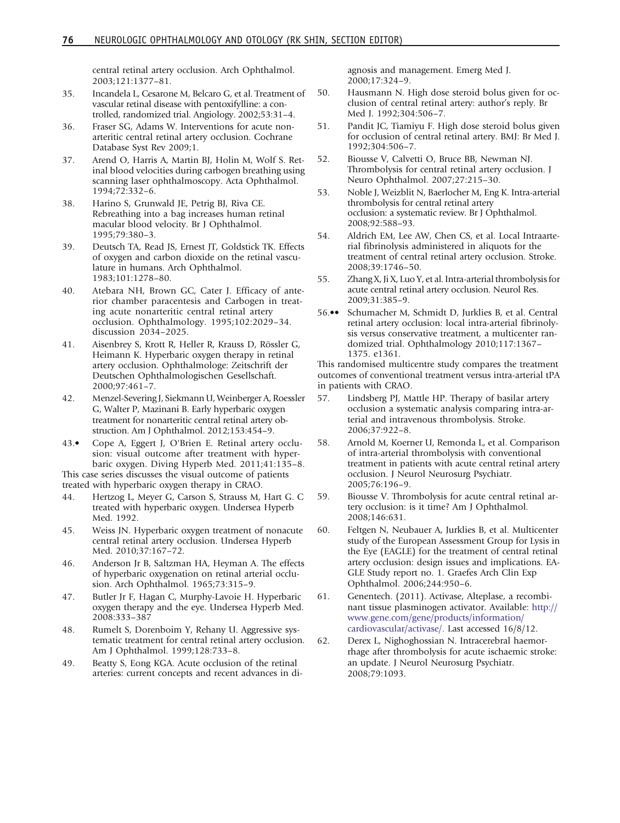central retinal artery occlusion. Arch Ophthalmol. 2003;121:1377–81.

- <span id="page-13-0"></span>35. Incandela L, Cesarone M, Belcaro G, et al. Treatment of vascular retinal disease with pentoxifylline: a controlled, randomized trial. Angiology. 2002;53:31–4.
- 36. Fraser SG, Adams W. Interventions for acute nonarteritic central retinal artery occlusion. Cochrane Database Syst Rev 2009;1.
- 37. Arend O, Harris A, Martin BJ, Holin M, Wolf S. Retinal blood velocities during carbogen breathing using scanning laser ophthalmoscopy. Acta Ophthalmol. 1994;72:332–6.
- 38. Harino S, Grunwald JE, Petrig BJ, Riva CE. Rebreathing into a bag increases human retinal macular blood velocity. Br J Ophthalmol. 1995;79:380–3.
- 39. Deutsch TA, Read JS, Ernest JT, Goldstick TK. Effects of oxygen and carbon dioxide on the retinal vasculature in humans. Arch Ophthalmol. 1983;101:1278–80.
- 40. Atebara NH, Brown GC, Cater J. Efficacy of anterior chamber paracentesis and Carbogen in treating acute nonarteritic central retinal artery occlusion. Ophthalmology. 1995;102:2029–34. discussion 2034–2025.
- 41. Aisenbrey S, Krott R, Heller R, Krauss D, Rössler G, Heimann K. Hyperbaric oxygen therapy in retinal artery occlusion. Ophthalmologe: Zeitschrift der Deutschen Ophthalmologischen Gesellschaft. 2000;97:461–7.
- 42. Menzel-Severing J, Siekmann U, Weinberger A, Roessler G, Walter P, Mazinani B. Early hyperbaric oxygen treatment for nonarteritic central retinal artery obstruction. Am J Ophthalmol. 2012;153:454–9.
- 43.• Cope A, Eggert J, O'Brien E. Retinal artery occlusion: visual outcome after treatment with hyperbaric oxygen. Diving Hyperb Med. 2011;41:135–8.

This case series discusses the visual outcome of patients treated with hyperbaric oxygen therapy in CRAO.

- 44. Hertzog L, Meyer G, Carson S, Strauss M, Hart G. C treated with hyperbaric oxygen. Undersea Hyperb Med. 1992.
- 45. Weiss JN. Hyperbaric oxygen treatment of nonacute central retinal artery occlusion. Undersea Hyperb Med. 2010;37:167–72.
- 46. Anderson Jr B, Saltzman HA, Heyman A. The effects of hyperbaric oxygenation on retinal arterial occlusion. Arch Ophthalmol. 1965;73:315–9.
- 47. Butler Jr F, Hagan C, Murphy-Lavoie H. Hyperbaric oxygen therapy and the eye. Undersea Hyperb Med. 2008:333–387
- 48. Rumelt S, Dorenboim Y, Rehany U. Aggressive systematic treatment for central retinal artery occlusion. Am J Ophthalmol. 1999;128:733–8.
- 49. Beatty S, Eong KGA. Acute occlusion of the retinal arteries: current concepts and recent advances in di-

agnosis and management. Emerg Med J. 2000;17:324–9.

- 50. Hausmann N. High dose steroid bolus given for occlusion of central retinal artery: author's reply. Br Med J. 1992;304:506–7.
- 51. Pandit JC, Tiamiyu F. High dose steroid bolus given for occlusion of central retinal artery. BMJ: Br Med J. 1992;304:506–7.
- 52. Biousse V, Calvetti O, Bruce BB, Newman NJ. Thrombolysis for central retinal artery occlusion. J Neuro Ophthalmol. 2007;27:215–30.
- 53. Noble J, Weizblit N, Baerlocher M, Eng K. Intra-arterial thrombolysis for central retinal artery occlusion: a systematic review. Br J Ophthalmol. 2008;92:588–93.
- 54. Aldrich EM, Lee AW, Chen CS, et al. Local Intraarterial fibrinolysis administered in aliquots for the treatment of central retinal artery occlusion. Stroke. 2008;39:1746–50.
- 55. Zhang X, Ji X, Luo Y, et al. Intra-arterial thrombolysis for acute central retinal artery occlusion. Neurol Res. 2009;31:385–9.
- 56.•• Schumacher M, Schmidt D, Jurklies B, et al. Central retinal artery occlusion: local intra-arterial fibrinolysis versus conservative treatment, a multicenter randomized trial. Ophthalmology 2010;117:1367– 1375. e1361.

This randomised multicentre study compares the treatment outcomes of conventional treatment versus intra-arterial tPA in patients with CRAO.

- 57. Lindsberg PJ, Mattle HP. Therapy of basilar artery occlusion a systematic analysis comparing intra-arterial and intravenous thrombolysis. Stroke. 2006;37:922–8.
- 58. Arnold M, Koerner U, Remonda L, et al. Comparison of intra-arterial thrombolysis with conventional treatment in patients with acute central retinal artery occlusion. J Neurol Neurosurg Psychiatr. 2005;76:196–9.
- 59. Biousse V. Thrombolysis for acute central retinal artery occlusion: is it time? Am J Ophthalmol. 2008;146:631.
- 60. Feltgen N, Neubauer A, Jurklies B, et al. Multicenter study of the European Assessment Group for Lysis in the Eye (EAGLE) for the treatment of central retinal artery occlusion: design issues and implications. EA-GLE Study report no. 1. Graefes Arch Clin Exp Ophthalmol. 2006;244:950–6.
- 61. Genentech. (2011). Activase, Alteplase, a recombinant tissue plasminogen activator. Available: [http://](http://www.gene.com/gene/products/information/cardiovascular/activase/.Last) [www.gene.com/gene/products/information/](http://www.gene.com/gene/products/information/cardiovascular/activase/.Last) [cardiovascular/activase/.](http://www.gene.com/gene/products/information/cardiovascular/activase/.Last) Last accessed 16/8/12.
- 62. Derex L, Nighoghossian N. Intracerebral haemorrhage after thrombolysis for acute ischaemic stroke: an update. J Neurol Neurosurg Psychiatr. 2008;79:1093.